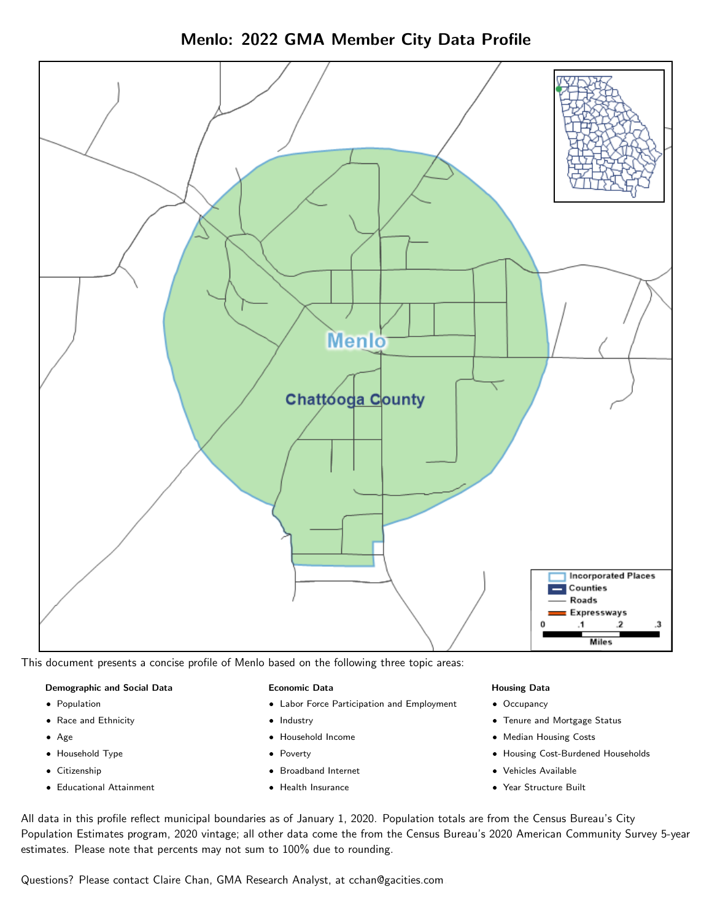



This document presents a concise profile of Menlo based on the following three topic areas:

#### Demographic and Social Data

- **•** Population
- Race and Ethnicity
- Age
- Household Type
- **Citizenship**
- Educational Attainment

#### Economic Data

- Labor Force Participation and Employment
- Industry
- Household Income
- Poverty
- Broadband Internet
- Health Insurance

#### Housing Data

- Occupancy
- Tenure and Mortgage Status
- Median Housing Costs
- Housing Cost-Burdened Households
- Vehicles Available
- Year Structure Built

All data in this profile reflect municipal boundaries as of January 1, 2020. Population totals are from the Census Bureau's City Population Estimates program, 2020 vintage; all other data come the from the Census Bureau's 2020 American Community Survey 5-year estimates. Please note that percents may not sum to 100% due to rounding.

Questions? Please contact Claire Chan, GMA Research Analyst, at [cchan@gacities.com.](mailto:cchan@gacities.com)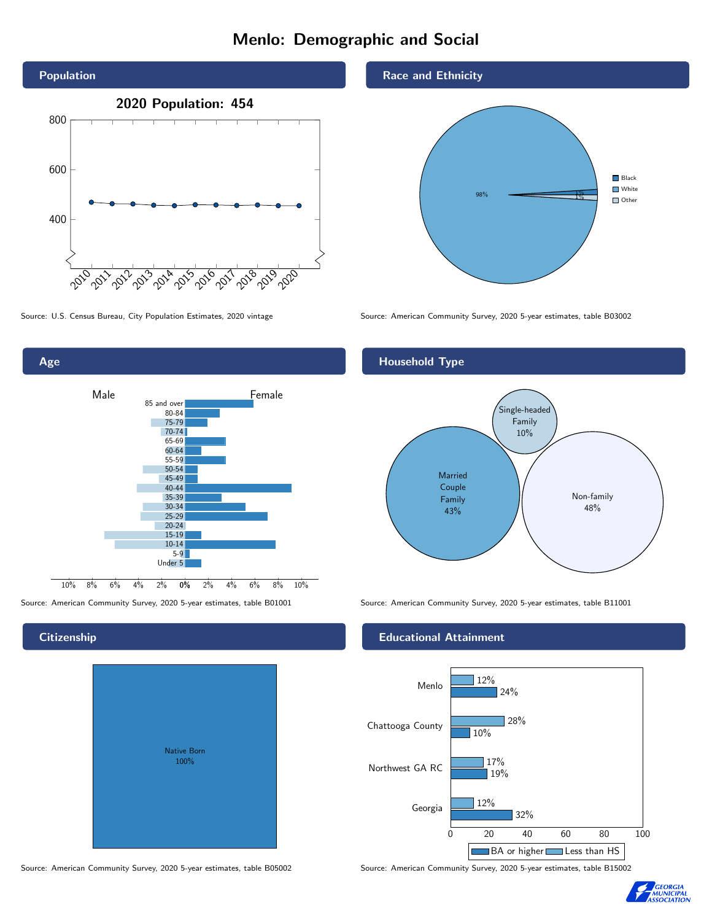## Menlo: Demographic and Social





## **Citizenship**

| <b>Native Born</b><br>100% |  |
|----------------------------|--|
|                            |  |

Race and Ethnicity



Source: U.S. Census Bureau, City Population Estimates, 2020 vintage Source: American Community Survey, 2020 5-year estimates, table B03002

## Household Type



Source: American Community Survey, 2020 5-year estimates, table B01001 Source: American Community Survey, 2020 5-year estimates, table B11001

#### Educational Attainment



Source: American Community Survey, 2020 5-year estimates, table B05002 Source: American Community Survey, 2020 5-year estimates, table B15002

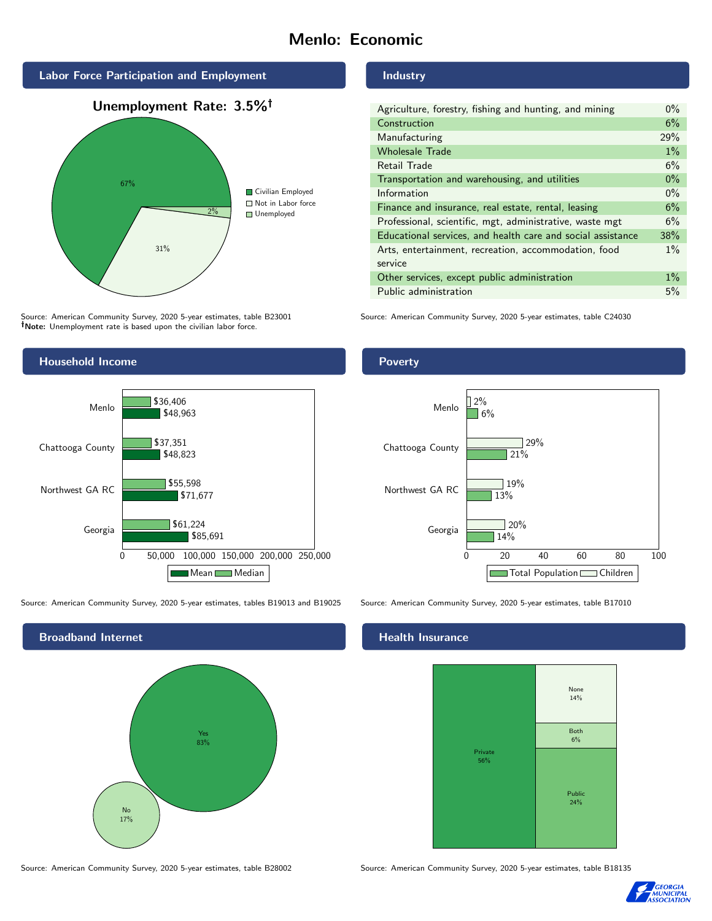# Menlo: Economic



Source: American Community Survey, 2020 5-year estimates, table B23001 Note: Unemployment rate is based upon the civilian labor force.



Source: American Community Survey, 2020 5-year estimates, tables B19013 and B19025 Source: American Community Survey, 2020 5-year estimates, table B17010



#### Industry

| Agriculture, forestry, fishing and hunting, and mining      |       |
|-------------------------------------------------------------|-------|
| Construction                                                |       |
| Manufacturing                                               | 29%   |
| <b>Wholesale Trade</b>                                      | $1\%$ |
| Retail Trade                                                | 6%    |
| Transportation and warehousing, and utilities               |       |
| Information                                                 |       |
| Finance and insurance, real estate, rental, leasing         |       |
| Professional, scientific, mgt, administrative, waste mgt    |       |
| Educational services, and health care and social assistance |       |
| Arts, entertainment, recreation, accommodation, food        |       |
| service                                                     |       |
| Other services, except public administration                |       |
| Public administration                                       |       |

Source: American Community Survey, 2020 5-year estimates, table C24030

### Poverty



## **Health Insurance**



Source: American Community Survey, 2020 5-year estimates, table B28002 Source: American Community Survey, 2020 5-year estimates, table B18135